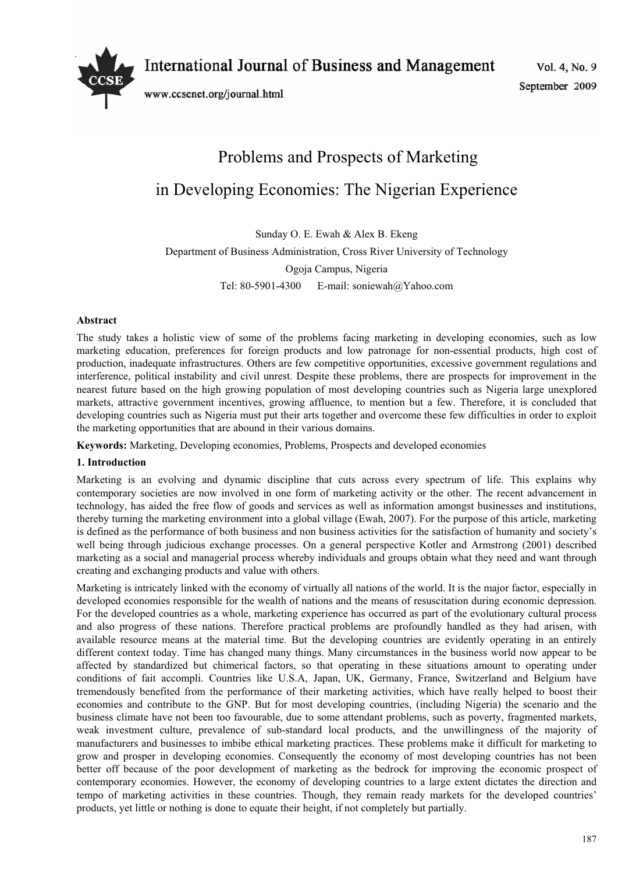**International Journal of Business and Management** 



www.ccsenet.org/journal.html

Vol. 4, No. 9 September 2009

# Problems and Prospects of Marketing in Developing Economies: The Nigerian Experience

Sunday O. E. Ewah & Alex B. Ekeng

Department of Business Administration, Cross River University of Technology

Ogoja Campus, Nigeria

Tel: 80-5901-4300 E-mail: soniewah@Yahoo.com

## **Abstract**

The study takes a holistic view of some of the problems facing marketing in developing economies, such as low marketing education, preferences for foreign products and low patronage for non-essential products, high cost of production, inadequate infrastructures. Others are few competitive opportunities, excessive government regulations and interference, political instability and civil unrest. Despite these problems, there are prospects for improvement in the nearest future based on the high growing population of most developing countries such as Nigeria large unexplored markets, attractive government incentives, growing affluence, to mention but a few. Therefore, it is concluded that developing countries such as Nigeria must put their arts together and overcome these few difficulties in order to exploit the marketing opportunities that are abound in their various domains.

**Keywords:** Marketing, Developing economies, Problems, Prospects and developed economies

## **1. Introduction**

Marketing is an evolving and dynamic discipline that cuts across every spectrum of life. This explains why contemporary societies are now involved in one form of marketing activity or the other. The recent advancement in technology, has aided the free flow of goods and services as well as information amongst businesses and institutions, thereby turning the marketing environment into a global village (Ewah, 2007). For the purpose of this article, marketing is defined as the performance of both business and non business activities for the satisfaction of humanity and society's well being through judicious exchange processes. On a general perspective Kotler and Armstrong (2001) described marketing as a social and managerial process whereby individuals and groups obtain what they need and want through creating and exchanging products and value with others.

Marketing is intricately linked with the economy of virtually all nations of the world. It is the major factor, especially in developed economies responsible for the wealth of nations and the means of resuscitation during economic depression. For the developed countries as a whole, marketing experience has occurred as part of the evolutionary cultural process and also progress of these nations. Therefore practical problems are profoundly handled as they had arisen, with available resource means at the material time. But the developing countries are evidently operating in an entirely different context today. Time has changed many things. Many circumstances in the business world now appear to be affected by standardized but chimerical factors, so that operating in these situations amount to operating under conditions of fait accompli. Countries like U.S.A, Japan, UK, Germany, France, Switzerland and Belgium have tremendously benefited from the performance of their marketing activities, which have really helped to boost their economies and contribute to the GNP. But for most developing countries, (including Nigeria) the scenario and the business climate have not been too favourable, due to some attendant problems, such as poverty, fragmented markets, weak investment culture, prevalence of sub-standard local products, and the unwillingness of the majority of manufacturers and businesses to imbibe ethical marketing practices. These problems make it difficult for marketing to grow and prosper in developing economies. Consequently the economy of most developing countries has not been better off because of the poor development of marketing as the bedrock for improving the economic prospect of contemporary economies. However, the economy of developing countries to a large extent dictates the direction and tempo of marketing activities in these countries. Though, they remain ready markets for the developed countries' products, yet little or nothing is done to equate their height, if not completely but partially.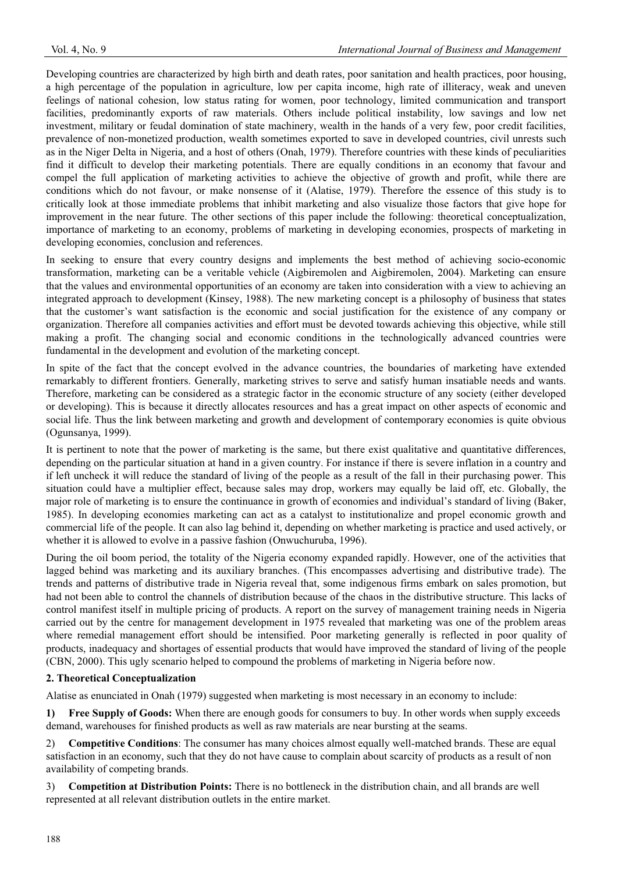Developing countries are characterized by high birth and death rates, poor sanitation and health practices, poor housing, a high percentage of the population in agriculture, low per capita income, high rate of illiteracy, weak and uneven feelings of national cohesion, low status rating for women, poor technology, limited communication and transport facilities, predominantly exports of raw materials. Others include political instability, low savings and low net investment, military or feudal domination of state machinery, wealth in the hands of a very few, poor credit facilities, prevalence of non-monetized production, wealth sometimes exported to save in developed countries, civil unrests such as in the Niger Delta in Nigeria, and a host of others (Onah, 1979). Therefore countries with these kinds of peculiarities find it difficult to develop their marketing potentials. There are equally conditions in an economy that favour and compel the full application of marketing activities to achieve the objective of growth and profit, while there are conditions which do not favour, or make nonsense of it (Alatise, 1979). Therefore the essence of this study is to critically look at those immediate problems that inhibit marketing and also visualize those factors that give hope for improvement in the near future. The other sections of this paper include the following: theoretical conceptualization, importance of marketing to an economy, problems of marketing in developing economies, prospects of marketing in developing economies, conclusion and references.

In seeking to ensure that every country designs and implements the best method of achieving socio-economic transformation, marketing can be a veritable vehicle (Aigbiremolen and Aigbiremolen, 2004). Marketing can ensure that the values and environmental opportunities of an economy are taken into consideration with a view to achieving an integrated approach to development (Kinsey, 1988). The new marketing concept is a philosophy of business that states that the customer's want satisfaction is the economic and social justification for the existence of any company or organization. Therefore all companies activities and effort must be devoted towards achieving this objective, while still making a profit. The changing social and economic conditions in the technologically advanced countries were fundamental in the development and evolution of the marketing concept.

In spite of the fact that the concept evolved in the advance countries, the boundaries of marketing have extended remarkably to different frontiers. Generally, marketing strives to serve and satisfy human insatiable needs and wants. Therefore, marketing can be considered as a strategic factor in the economic structure of any society (either developed or developing). This is because it directly allocates resources and has a great impact on other aspects of economic and social life. Thus the link between marketing and growth and development of contemporary economies is quite obvious (Ogunsanya, 1999).

It is pertinent to note that the power of marketing is the same, but there exist qualitative and quantitative differences, depending on the particular situation at hand in a given country. For instance if there is severe inflation in a country and if left uncheck it will reduce the standard of living of the people as a result of the fall in their purchasing power. This situation could have a multiplier effect, because sales may drop, workers may equally be laid off, etc. Globally, the major role of marketing is to ensure the continuance in growth of economies and individual's standard of living (Baker, 1985). In developing economies marketing can act as a catalyst to institutionalize and propel economic growth and commercial life of the people. It can also lag behind it, depending on whether marketing is practice and used actively, or whether it is allowed to evolve in a passive fashion (Onwuchuruba, 1996).

During the oil boom period, the totality of the Nigeria economy expanded rapidly. However, one of the activities that lagged behind was marketing and its auxiliary branches. (This encompasses advertising and distributive trade). The trends and patterns of distributive trade in Nigeria reveal that, some indigenous firms embark on sales promotion, but had not been able to control the channels of distribution because of the chaos in the distributive structure. This lacks of control manifest itself in multiple pricing of products. A report on the survey of management training needs in Nigeria carried out by the centre for management development in 1975 revealed that marketing was one of the problem areas where remedial management effort should be intensified. Poor marketing generally is reflected in poor quality of products, inadequacy and shortages of essential products that would have improved the standard of living of the people (CBN, 2000). This ugly scenario helped to compound the problems of marketing in Nigeria before now.

#### **2. Theoretical Conceptualization**

Alatise as enunciated in Onah (1979) suggested when marketing is most necessary in an economy to include:

**1) Free Supply of Goods:** When there are enough goods for consumers to buy. In other words when supply exceeds demand, warehouses for finished products as well as raw materials are near bursting at the seams.

2) **Competitive Conditions**: The consumer has many choices almost equally well-matched brands. These are equal satisfaction in an economy, such that they do not have cause to complain about scarcity of products as a result of non availability of competing brands.

3) **Competition at Distribution Points:** There is no bottleneck in the distribution chain, and all brands are well represented at all relevant distribution outlets in the entire market.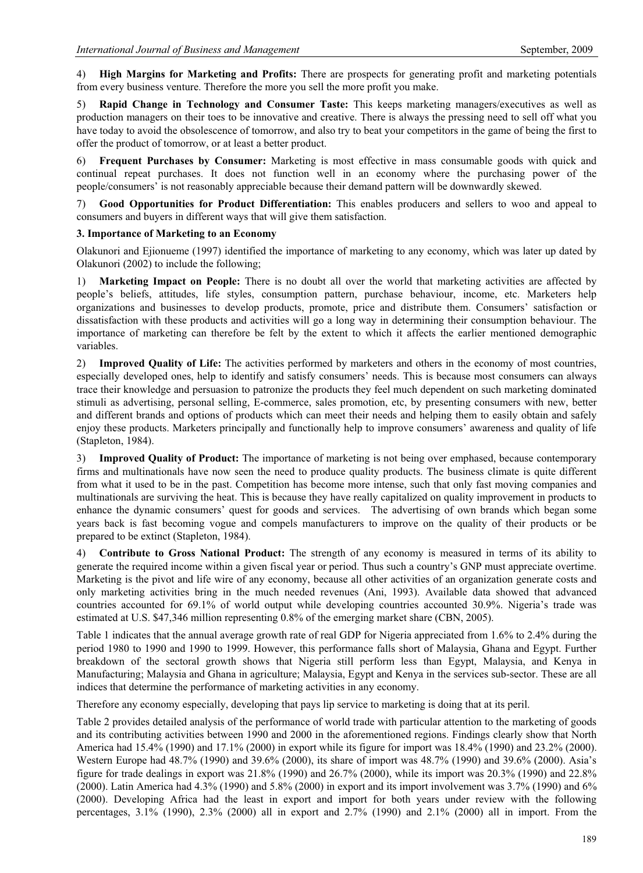4) **High Margins for Marketing and Profits:** There are prospects for generating profit and marketing potentials from every business venture. Therefore the more you sell the more profit you make.

5) **Rapid Change in Technology and Consumer Taste:** This keeps marketing managers/executives as well as production managers on their toes to be innovative and creative. There is always the pressing need to sell off what you have today to avoid the obsolescence of tomorrow, and also try to beat your competitors in the game of being the first to offer the product of tomorrow, or at least a better product.

6) **Frequent Purchases by Consumer:** Marketing is most effective in mass consumable goods with quick and continual repeat purchases. It does not function well in an economy where the purchasing power of the people/consumers' is not reasonably appreciable because their demand pattern will be downwardly skewed.

7) **Good Opportunities for Product Differentiation:** This enables producers and sellers to woo and appeal to consumers and buyers in different ways that will give them satisfaction.

#### **3. Importance of Marketing to an Economy**

Olakunori and Ejionueme (1997) identified the importance of marketing to any economy, which was later up dated by Olakunori (2002) to include the following;

1) **Marketing Impact on People:** There is no doubt all over the world that marketing activities are affected by people's beliefs, attitudes, life styles, consumption pattern, purchase behaviour, income, etc. Marketers help organizations and businesses to develop products, promote, price and distribute them. Consumers' satisfaction or dissatisfaction with these products and activities will go a long way in determining their consumption behaviour. The importance of marketing can therefore be felt by the extent to which it affects the earlier mentioned demographic variables.

2) **Improved Quality of Life:** The activities performed by marketers and others in the economy of most countries, especially developed ones, help to identify and satisfy consumers' needs. This is because most consumers can always trace their knowledge and persuasion to patronize the products they feel much dependent on such marketing dominated stimuli as advertising, personal selling, E-commerce, sales promotion, etc, by presenting consumers with new, better and different brands and options of products which can meet their needs and helping them to easily obtain and safely enjoy these products. Marketers principally and functionally help to improve consumers' awareness and quality of life (Stapleton, 1984).

3) **Improved Quality of Product:** The importance of marketing is not being over emphased, because contemporary firms and multinationals have now seen the need to produce quality products. The business climate is quite different from what it used to be in the past. Competition has become more intense, such that only fast moving companies and multinationals are surviving the heat. This is because they have really capitalized on quality improvement in products to enhance the dynamic consumers' quest for goods and services. The advertising of own brands which began some years back is fast becoming vogue and compels manufacturers to improve on the quality of their products or be prepared to be extinct (Stapleton, 1984).

4) **Contribute to Gross National Product:** The strength of any economy is measured in terms of its ability to generate the required income within a given fiscal year or period. Thus such a country's GNP must appreciate overtime. Marketing is the pivot and life wire of any economy, because all other activities of an organization generate costs and only marketing activities bring in the much needed revenues (Ani, 1993). Available data showed that advanced countries accounted for 69.1% of world output while developing countries accounted 30.9%. Nigeria's trade was estimated at U.S. \$47,346 million representing 0.8% of the emerging market share (CBN, 2005).

Table 1 indicates that the annual average growth rate of real GDP for Nigeria appreciated from 1.6% to 2.4% during the period 1980 to 1990 and 1990 to 1999. However, this performance falls short of Malaysia, Ghana and Egypt. Further breakdown of the sectoral growth shows that Nigeria still perform less than Egypt, Malaysia, and Kenya in Manufacturing; Malaysia and Ghana in agriculture; Malaysia, Egypt and Kenya in the services sub-sector. These are all indices that determine the performance of marketing activities in any economy.

Therefore any economy especially, developing that pays lip service to marketing is doing that at its peril.

Table 2 provides detailed analysis of the performance of world trade with particular attention to the marketing of goods and its contributing activities between 1990 and 2000 in the aforementioned regions. Findings clearly show that North America had 15.4% (1990) and 17.1% (2000) in export while its figure for import was 18.4% (1990) and 23.2% (2000). Western Europe had 48.7% (1990) and 39.6% (2000), its share of import was 48.7% (1990) and 39.6% (2000). Asia's figure for trade dealings in export was 21.8% (1990) and 26.7% (2000), while its import was 20.3% (1990) and 22.8% (2000). Latin America had 4.3% (1990) and 5.8% (2000) in export and its import involvement was 3.7% (1990) and 6% (2000). Developing Africa had the least in export and import for both years under review with the following percentages, 3.1% (1990), 2.3% (2000) all in export and 2.7% (1990) and 2.1% (2000) all in import. From the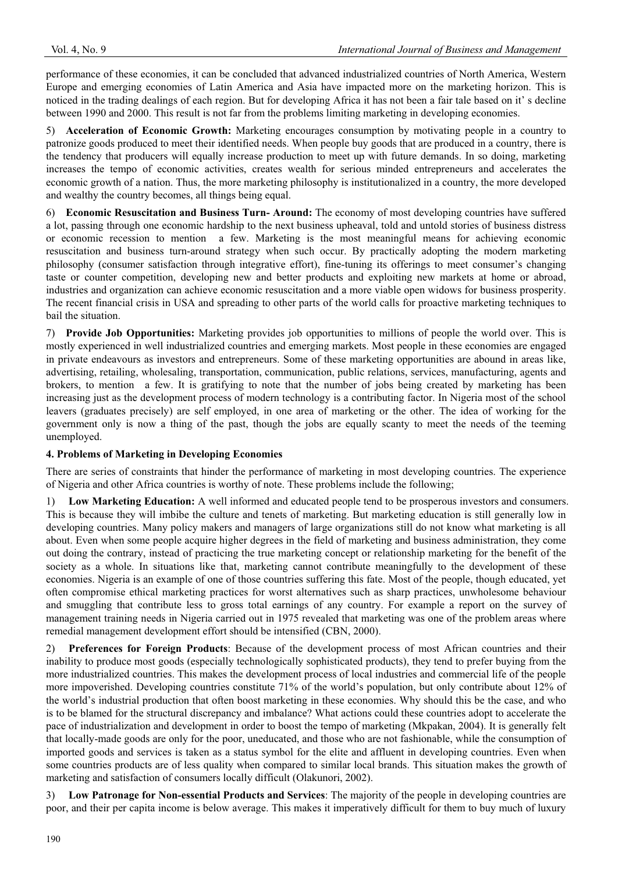performance of these economies, it can be concluded that advanced industrialized countries of North America, Western Europe and emerging economies of Latin America and Asia have impacted more on the marketing horizon. This is noticed in the trading dealings of each region. But for developing Africa it has not been a fair tale based on it' s decline between 1990 and 2000. This result is not far from the problems limiting marketing in developing economies.

5) **Acceleration of Economic Growth:** Marketing encourages consumption by motivating people in a country to patronize goods produced to meet their identified needs. When people buy goods that are produced in a country, there is the tendency that producers will equally increase production to meet up with future demands. In so doing, marketing increases the tempo of economic activities, creates wealth for serious minded entrepreneurs and accelerates the economic growth of a nation. Thus, the more marketing philosophy is institutionalized in a country, the more developed and wealthy the country becomes, all things being equal.

6) **Economic Resuscitation and Business Turn- Around:** The economy of most developing countries have suffered a lot, passing through one economic hardship to the next business upheaval, told and untold stories of business distress or economic recession to mention a few. Marketing is the most meaningful means for achieving economic resuscitation and business turn-around strategy when such occur. By practically adopting the modern marketing philosophy (consumer satisfaction through integrative effort), fine-tuning its offerings to meet consumer's changing taste or counter competition, developing new and better products and exploiting new markets at home or abroad, industries and organization can achieve economic resuscitation and a more viable open widows for business prosperity. The recent financial crisis in USA and spreading to other parts of the world calls for proactive marketing techniques to bail the situation.

7) **Provide Job Opportunities:** Marketing provides job opportunities to millions of people the world over. This is mostly experienced in well industrialized countries and emerging markets. Most people in these economies are engaged in private endeavours as investors and entrepreneurs. Some of these marketing opportunities are abound in areas like, advertising, retailing, wholesaling, transportation, communication, public relations, services, manufacturing, agents and brokers, to mention a few. It is gratifying to note that the number of jobs being created by marketing has been increasing just as the development process of modern technology is a contributing factor. In Nigeria most of the school leavers (graduates precisely) are self employed, in one area of marketing or the other. The idea of working for the government only is now a thing of the past, though the jobs are equally scanty to meet the needs of the teeming unemployed.

## **4. Problems of Marketing in Developing Economies**

There are series of constraints that hinder the performance of marketing in most developing countries. The experience of Nigeria and other Africa countries is worthy of note. These problems include the following;

1) **Low Marketing Education:** A well informed and educated people tend to be prosperous investors and consumers. This is because they will imbibe the culture and tenets of marketing. But marketing education is still generally low in developing countries. Many policy makers and managers of large organizations still do not know what marketing is all about. Even when some people acquire higher degrees in the field of marketing and business administration, they come out doing the contrary, instead of practicing the true marketing concept or relationship marketing for the benefit of the society as a whole. In situations like that, marketing cannot contribute meaningfully to the development of these economies. Nigeria is an example of one of those countries suffering this fate. Most of the people, though educated, yet often compromise ethical marketing practices for worst alternatives such as sharp practices, unwholesome behaviour and smuggling that contribute less to gross total earnings of any country. For example a report on the survey of management training needs in Nigeria carried out in 1975 revealed that marketing was one of the problem areas where remedial management development effort should be intensified (CBN, 2000).

2) **Preferences for Foreign Products**: Because of the development process of most African countries and their inability to produce most goods (especially technologically sophisticated products), they tend to prefer buying from the more industrialized countries. This makes the development process of local industries and commercial life of the people more impoverished. Developing countries constitute 71% of the world's population, but only contribute about 12% of the world's industrial production that often boost marketing in these economies. Why should this be the case, and who is to be blamed for the structural discrepancy and imbalance? What actions could these countries adopt to accelerate the pace of industrialization and development in order to boost the tempo of marketing (Mkpakan, 2004). It is generally felt that locally-made goods are only for the poor, uneducated, and those who are not fashionable, while the consumption of imported goods and services is taken as a status symbol for the elite and affluent in developing countries. Even when some countries products are of less quality when compared to similar local brands. This situation makes the growth of marketing and satisfaction of consumers locally difficult (Olakunori, 2002).

3) **Low Patronage for Non-essential Products and Services**: The majority of the people in developing countries are poor, and their per capita income is below average. This makes it imperatively difficult for them to buy much of luxury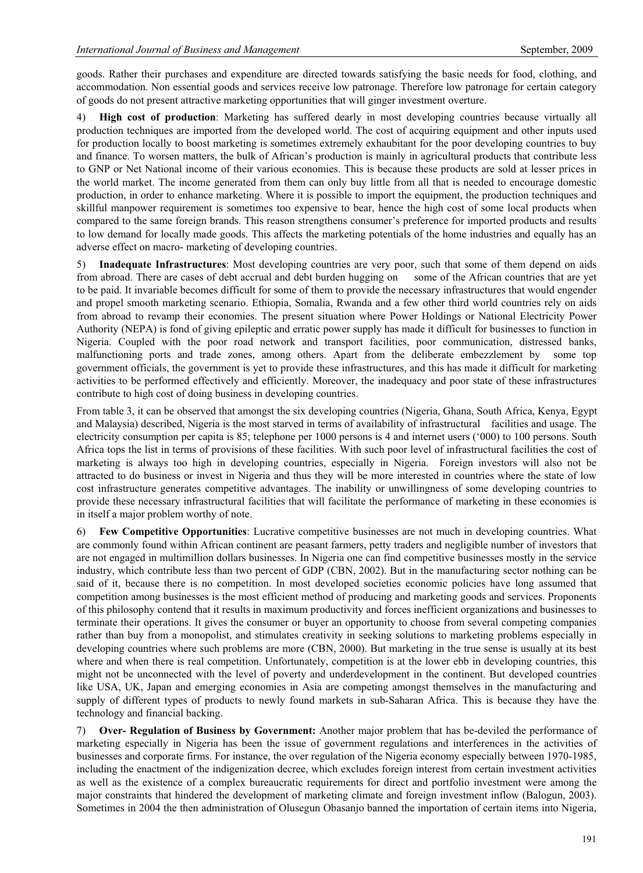goods. Rather their purchases and expenditure are directed towards satisfying the basic needs for food, clothing, and accommodation. Non essential goods and services receive low patronage. Therefore low patronage for certain category of goods do not present attractive marketing opportunities that will ginger investment overture.

4) **High cost of production**: Marketing has suffered dearly in most developing countries because virtually all production techniques are imported from the developed world. The cost of acquiring equipment and other inputs used for production locally to boost marketing is sometimes extremely exhaubitant for the poor developing countries to buy and finance. To worsen matters, the bulk of African's production is mainly in agricultural products that contribute less to GNP or Net National income of their various economies. This is because these products are sold at lesser prices in the world market. The income generated from them can only buy little from all that is needed to encourage domestic production, in order to enhance marketing. Where it is possible to import the equipment, the production techniques and skillful manpower requirement is sometimes too expensive to bear, hence the high cost of some local products when compared to the same foreign brands. This reason strengthens consumer's preference for imported products and results to low demand for locally made goods. This affects the marketing potentials of the home industries and equally has an adverse effect on macro- marketing of developing countries.

5) **Inadequate Infrastructures**: Most developing countries are very poor, such that some of them depend on aids from abroad. There are cases of debt accrual and debt burden hugging on some of the African countries that are yet to be paid. It invariable becomes difficult for some of them to provide the necessary infrastructures that would engender and propel smooth marketing scenario. Ethiopia, Somalia, Rwanda and a few other third world countries rely on aids from abroad to revamp their economies. The present situation where Power Holdings or National Electricity Power Authority (NEPA) is fond of giving epileptic and erratic power supply has made it difficult for businesses to function in Nigeria. Coupled with the poor road network and transport facilities, poor communication, distressed banks, malfunctioning ports and trade zones, among others. Apart from the deliberate embezzlement by some top government officials, the government is yet to provide these infrastructures, and this has made it difficult for marketing activities to be performed effectively and efficiently. Moreover, the inadequacy and poor state of these infrastructures contribute to high cost of doing business in developing countries.

From table 3, it can be observed that amongst the six developing countries (Nigeria, Ghana, South Africa, Kenya, Egypt and Malaysia) described, Nigeria is the most starved in terms of availability of infrastructural facilities and usage. The electricity consumption per capita is 85; telephone per 1000 persons is 4 and internet users ('000) to 100 persons. South Africa tops the list in terms of provisions of these facilities. With such poor level of infrastructural facilities the cost of marketing is always too high in developing countries, especially in Nigeria. Foreign investors will also not be attracted to do business or invest in Nigeria and thus they will be more interested in countries where the state of low cost infrastructure generates competitive advantages. The inability or unwillingness of some developing countries to provide these necessary infrastructural facilities that will facilitate the performance of marketing in these economies is in itself a major problem worthy of note.

6) **Few Competitive Opportunities**: Lucrative competitive businesses are not much in developing countries. What are commonly found within African continent are peasant farmers, petty traders and negligible number of investors that are not engaged in multimillion dollars businesses. In Nigeria one can find competitive businesses mostly in the service industry, which contribute less than two percent of GDP (CBN, 2002). But in the manufacturing sector nothing can be said of it, because there is no competition. In most developed societies economic policies have long assumed that competition among businesses is the most efficient method of producing and marketing goods and services. Proponents of this philosophy contend that it results in maximum productivity and forces inefficient organizations and businesses to terminate their operations. It gives the consumer or buyer an opportunity to choose from several competing companies rather than buy from a monopolist, and stimulates creativity in seeking solutions to marketing problems especially in developing countries where such problems are more (CBN, 2000). But marketing in the true sense is usually at its best where and when there is real competition. Unfortunately, competition is at the lower ebb in developing countries, this might not be unconnected with the level of poverty and underdevelopment in the continent. But developed countries like USA, UK, Japan and emerging economies in Asia are competing amongst themselves in the manufacturing and supply of different types of products to newly found markets in sub-Saharan Africa. This is because they have the technology and financial backing.

7) **Over- Regulation of Business by Government:** Another major problem that has be-deviled the performance of marketing especially in Nigeria has been the issue of government regulations and interferences in the activities of businesses and corporate firms. For instance, the over regulation of the Nigeria economy especially between 1970-1985, including the enactment of the indigenization decree, which excludes foreign interest from certain investment activities as well as the existence of a complex bureaucratic requirements for direct and portfolio investment were among the major constraints that hindered the development of marketing climate and foreign investment inflow (Balogun, 2003). Sometimes in 2004 the then administration of Olusegun Obasanjo banned the importation of certain items into Nigeria,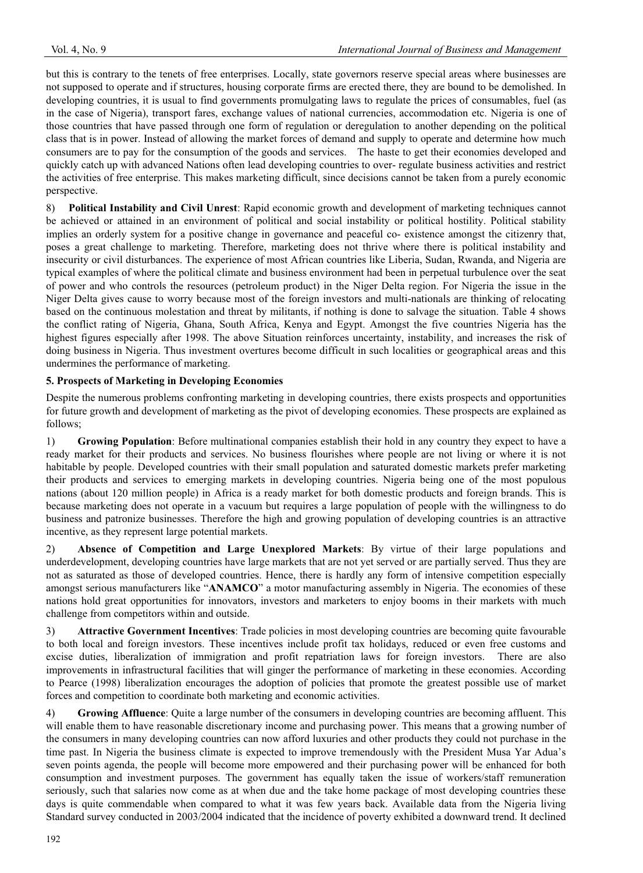but this is contrary to the tenets of free enterprises. Locally, state governors reserve special areas where businesses are not supposed to operate and if structures, housing corporate firms are erected there, they are bound to be demolished. In developing countries, it is usual to find governments promulgating laws to regulate the prices of consumables, fuel (as in the case of Nigeria), transport fares, exchange values of national currencies, accommodation etc. Nigeria is one of those countries that have passed through one form of regulation or deregulation to another depending on the political class that is in power. Instead of allowing the market forces of demand and supply to operate and determine how much consumers are to pay for the consumption of the goods and services. The haste to get their economies developed and quickly catch up with advanced Nations often lead developing countries to over- regulate business activities and restrict the activities of free enterprise. This makes marketing difficult, since decisions cannot be taken from a purely economic perspective.

8) **Political Instability and Civil Unrest**: Rapid economic growth and development of marketing techniques cannot be achieved or attained in an environment of political and social instability or political hostility. Political stability implies an orderly system for a positive change in governance and peaceful co- existence amongst the citizenry that, poses a great challenge to marketing. Therefore, marketing does not thrive where there is political instability and insecurity or civil disturbances. The experience of most African countries like Liberia, Sudan, Rwanda, and Nigeria are typical examples of where the political climate and business environment had been in perpetual turbulence over the seat of power and who controls the resources (petroleum product) in the Niger Delta region. For Nigeria the issue in the Niger Delta gives cause to worry because most of the foreign investors and multi-nationals are thinking of relocating based on the continuous molestation and threat by militants, if nothing is done to salvage the situation. Table 4 shows the conflict rating of Nigeria, Ghana, South Africa, Kenya and Egypt. Amongst the five countries Nigeria has the highest figures especially after 1998. The above Situation reinforces uncertainty, instability, and increases the risk of doing business in Nigeria. Thus investment overtures become difficult in such localities or geographical areas and this undermines the performance of marketing.

## **5. Prospects of Marketing in Developing Economies**

Despite the numerous problems confronting marketing in developing countries, there exists prospects and opportunities for future growth and development of marketing as the pivot of developing economies. These prospects are explained as follows;

1) **Growing Population**: Before multinational companies establish their hold in any country they expect to have a ready market for their products and services. No business flourishes where people are not living or where it is not habitable by people. Developed countries with their small population and saturated domestic markets prefer marketing their products and services to emerging markets in developing countries. Nigeria being one of the most populous nations (about 120 million people) in Africa is a ready market for both domestic products and foreign brands. This is because marketing does not operate in a vacuum but requires a large population of people with the willingness to do business and patronize businesses. Therefore the high and growing population of developing countries is an attractive incentive, as they represent large potential markets.

2) **Absence of Competition and Large Unexplored Markets**: By virtue of their large populations and underdevelopment, developing countries have large markets that are not yet served or are partially served. Thus they are not as saturated as those of developed countries. Hence, there is hardly any form of intensive competition especially amongst serious manufacturers like "**ANAMCO**" a motor manufacturing assembly in Nigeria. The economies of these nations hold great opportunities for innovators, investors and marketers to enjoy booms in their markets with much challenge from competitors within and outside.

3) **Attractive Government Incentives**: Trade policies in most developing countries are becoming quite favourable to both local and foreign investors. These incentives include profit tax holidays, reduced or even free customs and excise duties, liberalization of immigration and profit repatriation laws for foreign investors. There are also improvements in infrastructural facilities that will ginger the performance of marketing in these economies. According to Pearce (1998) liberalization encourages the adoption of policies that promote the greatest possible use of market forces and competition to coordinate both marketing and economic activities.

4) **Growing Affluence**: Quite a large number of the consumers in developing countries are becoming affluent. This will enable them to have reasonable discretionary income and purchasing power. This means that a growing number of the consumers in many developing countries can now afford luxuries and other products they could not purchase in the time past. In Nigeria the business climate is expected to improve tremendously with the President Musa Yar Adua's seven points agenda, the people will become more empowered and their purchasing power will be enhanced for both consumption and investment purposes. The government has equally taken the issue of workers/staff remuneration seriously, such that salaries now come as at when due and the take home package of most developing countries these days is quite commendable when compared to what it was few years back. Available data from the Nigeria living Standard survey conducted in 2003/2004 indicated that the incidence of poverty exhibited a downward trend. It declined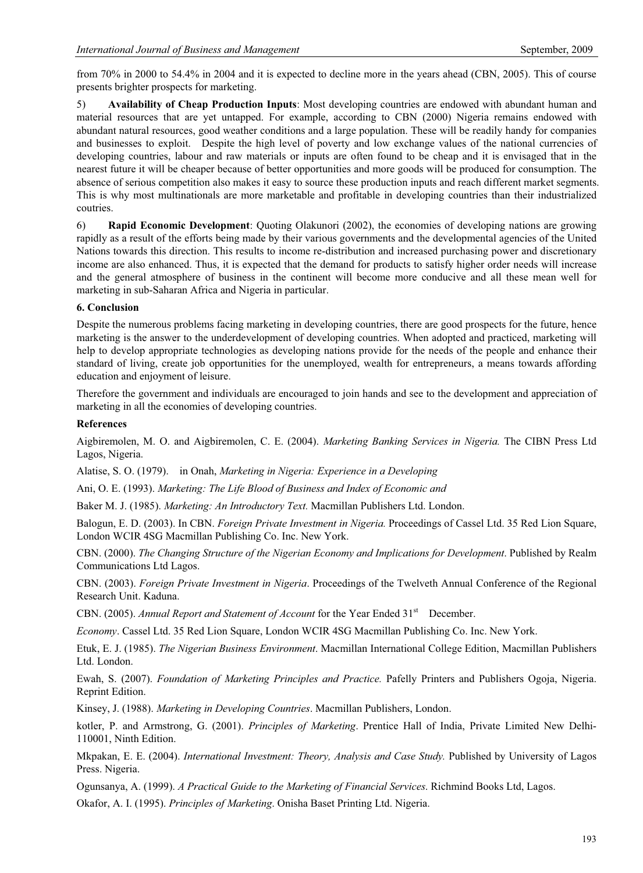from 70% in 2000 to 54.4% in 2004 and it is expected to decline more in the years ahead (CBN, 2005). This of course presents brighter prospects for marketing.

5) **Availability of Cheap Production Inputs**: Most developing countries are endowed with abundant human and material resources that are yet untapped. For example, according to CBN (2000) Nigeria remains endowed with abundant natural resources, good weather conditions and a large population. These will be readily handy for companies and businesses to exploit. Despite the high level of poverty and low exchange values of the national currencies of developing countries, labour and raw materials or inputs are often found to be cheap and it is envisaged that in the nearest future it will be cheaper because of better opportunities and more goods will be produced for consumption. The absence of serious competition also makes it easy to source these production inputs and reach different market segments. This is why most multinationals are more marketable and profitable in developing countries than their industrialized coutries.

6) **Rapid Economic Development**: Quoting Olakunori (2002), the economies of developing nations are growing rapidly as a result of the efforts being made by their various governments and the developmental agencies of the United Nations towards this direction. This results to income re-distribution and increased purchasing power and discretionary income are also enhanced. Thus, it is expected that the demand for products to satisfy higher order needs will increase and the general atmosphere of business in the continent will become more conducive and all these mean well for marketing in sub-Saharan Africa and Nigeria in particular.

#### **6. Conclusion**

Despite the numerous problems facing marketing in developing countries, there are good prospects for the future, hence marketing is the answer to the underdevelopment of developing countries. When adopted and practiced, marketing will help to develop appropriate technologies as developing nations provide for the needs of the people and enhance their standard of living, create job opportunities for the unemployed, wealth for entrepreneurs, a means towards affording education and enjoyment of leisure.

Therefore the government and individuals are encouraged to join hands and see to the development and appreciation of marketing in all the economies of developing countries.

#### **References**

Aigbiremolen, M. O. and Aigbiremolen, C. E. (2004). *Marketing Banking Services in Nigeria.* The CIBN Press Ltd Lagos, Nigeria.

Alatise, S. O. (1979). in Onah, *Marketing in Nigeria: Experience in a Developing* 

Ani, O. E. (1993). *Marketing: The Life Blood of Business and Index of Economic and* 

Baker M. J. (1985). *Marketing: An Introductory Text.* Macmillan Publishers Ltd. London.

Balogun, E. D. (2003). In CBN. *Foreign Private Investment in Nigeria.* Proceedings of Cassel Ltd. 35 Red Lion Square, London WCIR 4SG Macmillan Publishing Co. Inc. New York.

CBN. (2000). *The Changing Structure of the Nigerian Economy and Implications for Development*. Published by Realm Communications Ltd Lagos.

CBN. (2003). *Foreign Private Investment in Nigeria*. Proceedings of the Twelveth Annual Conference of the Regional Research Unit. Kaduna.

CBN. (2005). Annual Report and Statement of Account for the Year Ended 31<sup>st</sup> December.

*Economy*. Cassel Ltd. 35 Red Lion Square, London WCIR 4SG Macmillan Publishing Co. Inc. New York.

Etuk, E. J. (1985). *The Nigerian Business Environment*. Macmillan International College Edition, Macmillan Publishers Ltd. London.

Ewah, S. (2007). *Foundation of Marketing Principles and Practice.* Pafelly Printers and Publishers Ogoja, Nigeria. Reprint Edition.

Kinsey, J. (1988). *Marketing in Developing Countries*. Macmillan Publishers, London.

kotler, P. and Armstrong, G. (2001). *Principles of Marketing*. Prentice Hall of India, Private Limited New Delhi-110001, Ninth Edition.

Mkpakan, E. E. (2004). *International Investment: Theory, Analysis and Case Study.* Published by University of Lagos Press. Nigeria.

Ogunsanya, A. (1999). *A Practical Guide to the Marketing of Financial Services*. Richmind Books Ltd, Lagos.

Okafor, A. I. (1995). *Principles of Marketing*. Onisha Baset Printing Ltd. Nigeria.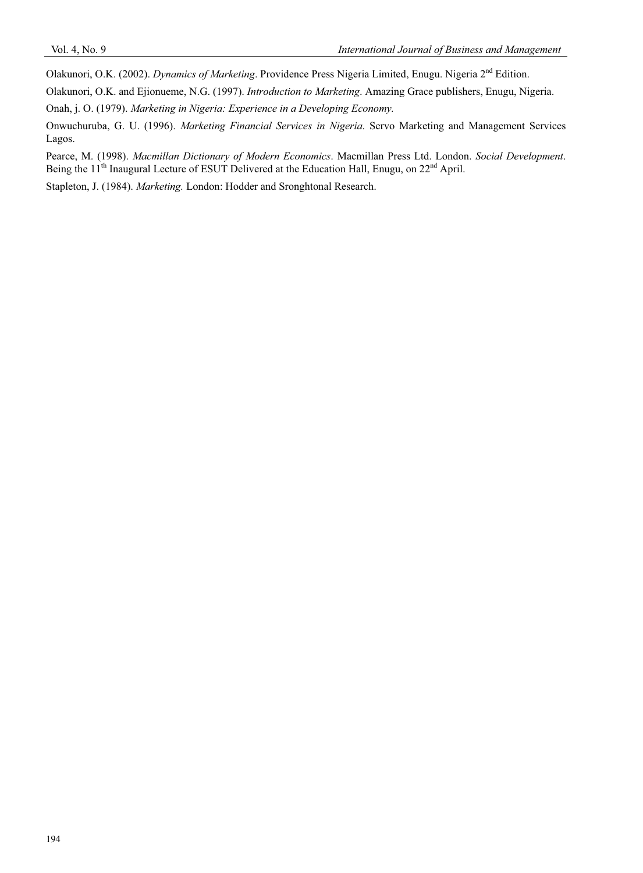Olakunori, O.K. (2002). *Dynamics of Marketing*. Providence Press Nigeria Limited, Enugu. Nigeria 2<sup>nd</sup> Edition.

Olakunori, O.K. and Ejionueme, N.G. (1997). *Introduction to Marketing*. Amazing Grace publishers, Enugu, Nigeria.

Onah, j. O. (1979). *Marketing in Nigeria: Experience in a Developing Economy.*

Onwuchuruba, G. U. (1996). *Marketing Financial Services in Nigeria*. Servo Marketing and Management Services Lagos.

Pearce, M. (1998). *Macmillan Dictionary of Modern Economics*. Macmillan Press Ltd. London. *Social Development*. Being the 11<sup>th</sup> Inaugural Lecture of ESUT Delivered at the Education Hall, Enugu, on 22<sup>nd</sup> April.

Stapleton, J. (1984). *Marketing.* London: Hodder and Sronghtonal Research.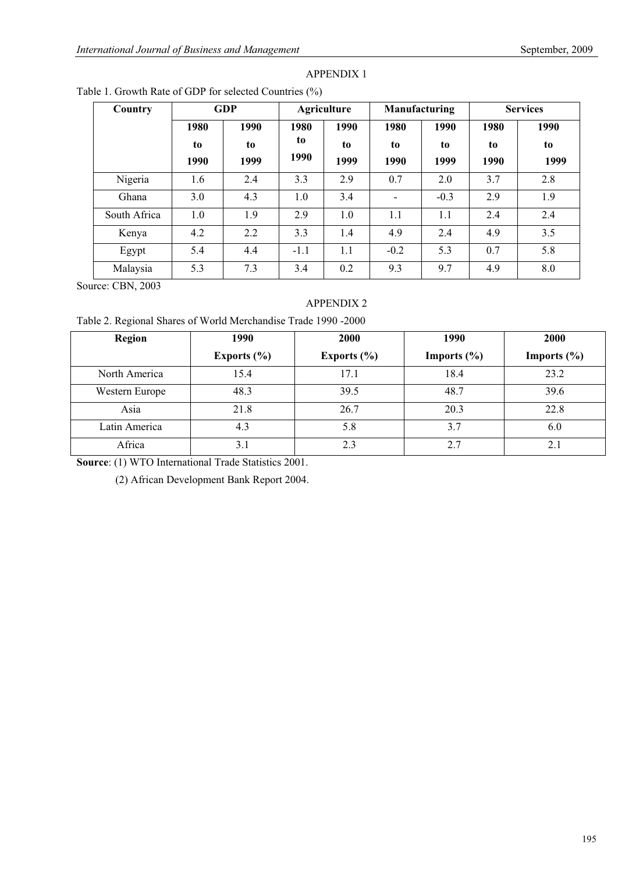| <b>APPENDIX 1</b> |  |
|-------------------|--|
|-------------------|--|

| Country      |      | <b>GDP</b> |        | <b>Agriculture</b> | Manufacturing |        | <b>Services</b> |      |
|--------------|------|------------|--------|--------------------|---------------|--------|-----------------|------|
|              | 1980 | 1990       | 1980   | 1990               | 1980          | 1990   | 1980            | 1990 |
|              | to   | to         | to     | to                 | to            | to     | to              | to   |
|              | 1990 | 1999       | 1990   | 1999               | 1990          | 1999   | 1990            | 1999 |
| Nigeria      | 1.6  | 2.4        | 3.3    | 2.9                | 0.7           | 2.0    | 3.7             | 2.8  |
| Ghana        | 3.0  | 4.3        | 1.0    | 3.4                |               | $-0.3$ | 2.9             | 1.9  |
| South Africa | 1.0  | 1.9        | 2.9    | 1.0                | 1.1           | 1.1    | 2.4             | 2.4  |
| Kenya        | 4.2  | 2.2        | 3.3    | 1.4                | 4.9           | 2.4    | 4.9             | 3.5  |
| Egypt        | 5.4  | 4.4        | $-1.1$ | 1.1                | $-0.2$        | 5.3    | 0.7             | 5.8  |
| Malaysia     | 5.3  | 7.3        | 3.4    | 0.2                | 9.3           | 9.7    | 4.9             | 8.0  |

### Table 1. Growth Rate of GDP for selected Countries (%)

Source: CBN, 2003

### APPENDIX 2

## Table 2. Regional Shares of World Merchandise Trade 1990 -2000

| <b>Region</b>  | 1990            | 2000            | 1990                  | <b>2000</b>     |
|----------------|-----------------|-----------------|-----------------------|-----------------|
|                | Exports $(\% )$ | Exports $(\% )$ | <b>Imports</b> $(\%)$ | Imports $(\% )$ |
| North America  | 15.4            | 17.1            | 18.4                  | 23.2            |
| Western Europe | 48.3            | 39.5            | 48.7                  | 39.6            |
| Asia           | 21.8            | 26.7            | 20.3                  | 22.8            |
| Latin America  | 4.3             | 5.8             | 3.7                   | 6.0             |
| Africa         | 3.1             | 2.3             | 2.7                   | 2.1             |

**Source**: (1) WTO International Trade Statistics 2001.

(2) African Development Bank Report 2004.